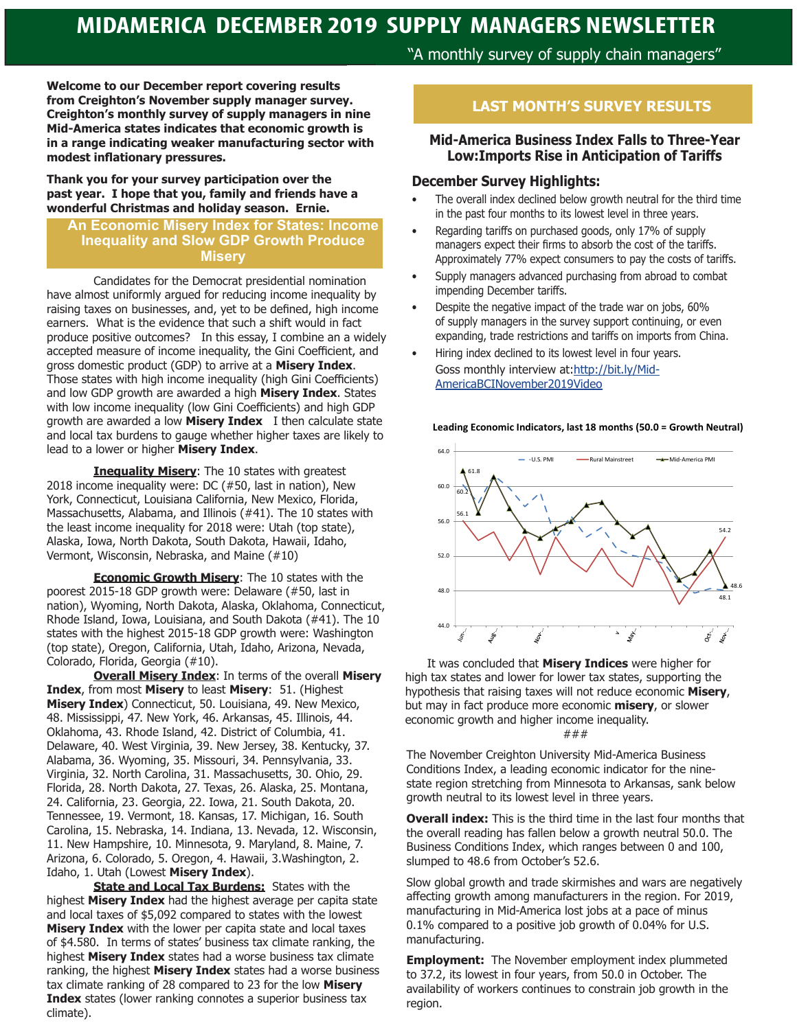# **MIDAMERICA DECEMBER 2019 SUPPLY MANAGERS NEWSLETTER**

**Welcome to our December report covering results from Creighton's November supply manager survey. Creighton's monthly survey of supply managers in nine Mid-America states indicates that economic growth is in a range indicating weaker manufacturing sector with modest inflationary pressures.** 

**Thank you for your survey participation over the past year. I hope that you, family and friends have a wonderful Christmas and holiday season. Ernie.**

### **An Economic Misery Index for States: Income Inequality and Slow GDP Growth Produce Misery**

Candidates for the Democrat presidential nomination have almost uniformly argued for reducing income inequality by raising taxes on businesses, and, yet to be defined, high income earners. What is the evidence that such a shift would in fact produce positive outcomes? In this essay, I combine an a widely accepted measure of income inequality, the Gini Coefficient, and gross domestic product (GDP) to arrive at a **Misery Index**. Those states with high income inequality (high Gini Coefficients) and low GDP growth are awarded a high **Misery Index**. States with low income inequality (low Gini Coefficients) and high GDP growth are awarded a low **Misery Index** I then calculate state and local tax burdens to gauge whether higher taxes are likely to lead to a lower or higher **Misery Index**.

**Inequality Misery**: The 10 states with greatest 2018 income inequality were: DC (#50, last in nation), New York, Connecticut, Louisiana California, New Mexico, Florida, Massachusetts, Alabama, and Illinois (#41). The 10 states with the least income inequality for 2018 were: Utah (top state), Alaska, Iowa, North Dakota, South Dakota, Hawaii, Idaho, Vermont, Wisconsin, Nebraska, and Maine (#10)

**Economic Growth Misery**: The 10 states with the poorest 2015-18 GDP growth were: Delaware (#50, last in nation), Wyoming, North Dakota, Alaska, Oklahoma, Connecticut, Rhode Island, Iowa, Louisiana, and South Dakota (#41). The 10 states with the highest 2015-18 GDP growth were: Washington (top state), Oregon, California, Utah, Idaho, Arizona, Nevada, Colorado, Florida, Georgia (#10).

**Overall Misery Index**: In terms of the overall **Misery Index**, from most **Misery** to least **Misery**: 51. (Highest **Misery Index**) Connecticut, 50. Louisiana, 49. New Mexico, 48. Mississippi, 47. New York, 46. Arkansas, 45. Illinois, 44. Oklahoma, 43. Rhode Island, 42. District of Columbia, 41. Delaware, 40. West Virginia, 39. New Jersey, 38. Kentucky, 37. Alabama, 36. Wyoming, 35. Missouri, 34. Pennsylvania, 33. Virginia, 32. North Carolina, 31. Massachusetts, 30. Ohio, 29. Florida, 28. North Dakota, 27. Texas, 26. Alaska, 25. Montana, 24. California, 23. Georgia, 22. Iowa, 21. South Dakota, 20. Tennessee, 19. Vermont, 18. Kansas, 17. Michigan, 16. South Carolina, 15. Nebraska, 14. Indiana, 13. Nevada, 12. Wisconsin, 11. New Hampshire, 10. Minnesota, 9. Maryland, 8. Maine, 7. Arizona, 6. Colorado, 5. Oregon, 4. Hawaii, 3.Washington, 2. Idaho, 1. Utah (Lowest **Misery Index**).

**State and Local Tax Burdens:** States with the highest **Misery Index** had the highest average per capita state and local taxes of \$5,092 compared to states with the lowest **Misery Index** with the lower per capita state and local taxes of \$4.580. In terms of states' business tax climate ranking, the highest **Misery Index** states had a worse business tax climate ranking, the highest **Misery Index** states had a worse business tax climate ranking of 28 compared to 23 for the low **Misery Index** states (lower ranking connotes a superior business tax climate).

# "A monthly survey of supply chain managers"

# **LAST MONTH'S SURVEY RESULTS**

#### **Mid-America Business Index Falls to Three-Year Low:Imports Rise in Anticipation of Tariffs**

#### **December Survey Highlights:**

- The overall index declined below growth neutral for the third time in the past four months to its lowest level in three years.
- Regarding tariffs on purchased goods, only 17% of supply managers expect their firms to absorb the cost of the tariffs. Approximately 77% expect consumers to pay the costs of tariffs.
- Supply managers advanced purchasing from abroad to combat impending December tariffs.
- Despite the negative impact of the trade war on jobs, 60% of supply managers in the survey support continuing, or even expanding, trade restrictions and tariffs on imports from China.
- Hiring index declined to its lowest level in four years. Goss monthly interview at:http://bit.ly/Mid-AmericaBCINovember2019Video



 It was concluded that **Misery Indices** were higher for high tax states and lower for lower tax states, supporting the hypothesis that raising taxes will not reduce economic **Misery**, but may in fact produce more economic **misery**, or slower economic growth and higher income inequality. ###

The November Creighton University Mid-America Business Conditions Index, a leading economic indicator for the ninestate region stretching from Minnesota to Arkansas, sank below growth neutral to its lowest level in three years.

**Overall index:** This is the third time in the last four months that the overall reading has fallen below a growth neutral 50.0. The Business Conditions Index, which ranges between 0 and 100, slumped to 48.6 from October's 52.6.

Slow global growth and trade skirmishes and wars are negatively affecting growth among manufacturers in the region. For 2019, manufacturing in Mid-America lost jobs at a pace of minus 0.1% compared to a positive job growth of 0.04% for U.S. manufacturing.

**Employment:** The November employment index plummeted to 37.2, its lowest in four years, from 50.0 in October. The availability of workers continues to constrain job growth in the region.

#### **Leading Economic Indicators, last 18 months (50.0 = Growth Neutral)**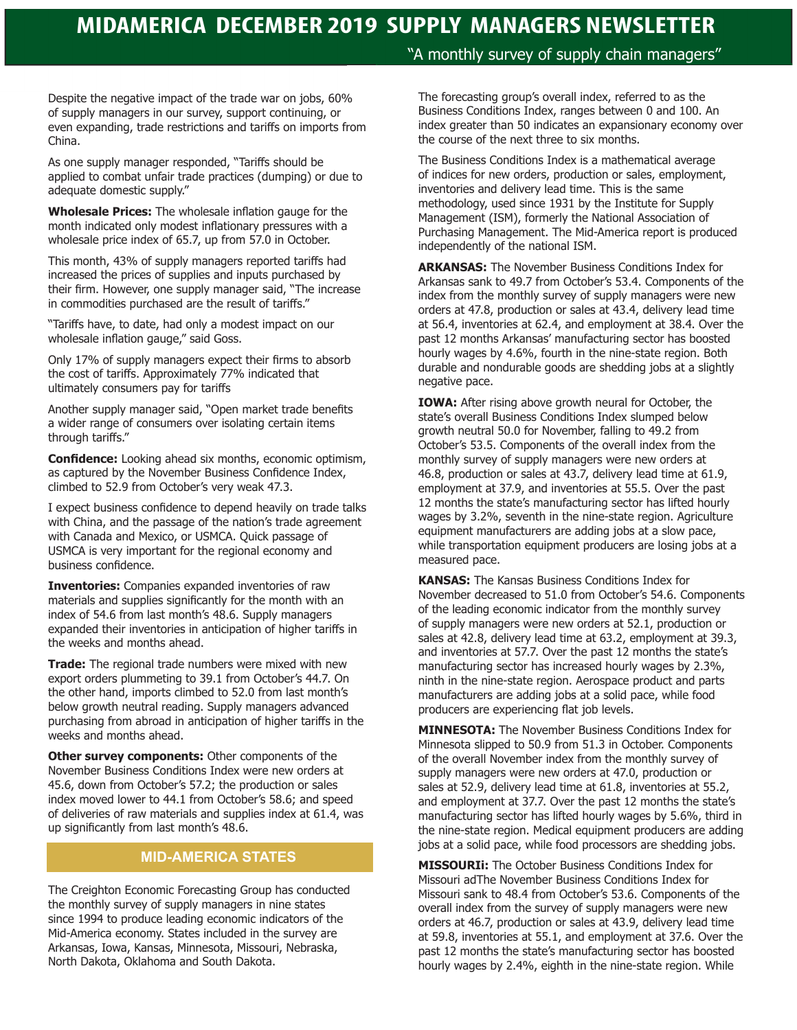# **MIDAMERICA DECEMBER 2019 SUPPLY MANAGERS NEWSLETTER**

Despite the negative impact of the trade war on jobs, 60% of supply managers in our survey, support continuing, or even expanding, trade restrictions and tariffs on imports from China.

As one supply manager responded, "Tariffs should be applied to combat unfair trade practices (dumping) or due to adequate domestic supply."

**Wholesale Prices:** The wholesale inflation gauge for the month indicated only modest inflationary pressures with a wholesale price index of 65.7, up from 57.0 in October.

This month, 43% of supply managers reported tariffs had increased the prices of supplies and inputs purchased by their firm. However, one supply manager said, "The increase in commodities purchased are the result of tariffs."

"Tariffs have, to date, had only a modest impact on our wholesale inflation gauge," said Goss.

Only 17% of supply managers expect their firms to absorb the cost of tariffs. Approximately 77% indicated that ultimately consumers pay for tariffs

Another supply manager said, "Open market trade benefits a wider range of consumers over isolating certain items through tariffs."

**Confidence:** Looking ahead six months, economic optimism, as captured by the November Business Confidence Index, climbed to 52.9 from October's very weak 47.3.

I expect business confidence to depend heavily on trade talks with China, and the passage of the nation's trade agreement with Canada and Mexico, or USMCA. Quick passage of USMCA is very important for the regional economy and business confidence.

**Inventories:** Companies expanded inventories of raw materials and supplies significantly for the month with an index of 54.6 from last month's 48.6. Supply managers expanded their inventories in anticipation of higher tariffs in the weeks and months ahead.

**Trade:** The regional trade numbers were mixed with new export orders plummeting to 39.1 from October's 44.7. On the other hand, imports climbed to 52.0 from last month's below growth neutral reading. Supply managers advanced purchasing from abroad in anticipation of higher tariffs in the weeks and months ahead.

**Other survey components:** Other components of the November Business Conditions Index were new orders at 45.6, down from October's 57.2; the production or sales index moved lower to 44.1 from October's 58.6; and speed of deliveries of raw materials and supplies index at 61.4, was up significantly from last month's 48.6.

# **MID-AMERICA STATES**

The Creighton Economic Forecasting Group has conducted the monthly survey of supply managers in nine states since 1994 to produce leading economic indicators of the Mid-America economy. States included in the survey are Arkansas, Iowa, Kansas, Minnesota, Missouri, Nebraska, North Dakota, Oklahoma and South Dakota.

"A monthly survey of supply chain managers"

The forecasting group's overall index, referred to as the Business Conditions Index, ranges between 0 and 100. An index greater than 50 indicates an expansionary economy over the course of the next three to six months.

The Business Conditions Index is a mathematical average of indices for new orders, production or sales, employment, inventories and delivery lead time. This is the same methodology, used since 1931 by the Institute for Supply Management (ISM), formerly the National Association of Purchasing Management. The Mid-America report is produced independently of the national ISM.

**ARKANSAS:** The November Business Conditions Index for Arkansas sank to 49.7 from October's 53.4. Components of the index from the monthly survey of supply managers were new orders at 47.8, production or sales at 43.4, delivery lead time at 56.4, inventories at 62.4, and employment at 38.4. Over the past 12 months Arkansas' manufacturing sector has boosted hourly wages by 4.6%, fourth in the nine-state region. Both durable and nondurable goods are shedding jobs at a slightly negative pace.

**IOWA:** After rising above growth neural for October, the state's overall Business Conditions Index slumped below growth neutral 50.0 for November, falling to 49.2 from October's 53.5. Components of the overall index from the monthly survey of supply managers were new orders at 46.8, production or sales at 43.7, delivery lead time at 61.9, employment at 37.9, and inventories at 55.5. Over the past 12 months the state's manufacturing sector has lifted hourly wages by 3.2%, seventh in the nine-state region. Agriculture equipment manufacturers are adding jobs at a slow pace, while transportation equipment producers are losing jobs at a measured pace.

**KANSAS:** The Kansas Business Conditions Index for November decreased to 51.0 from October's 54.6. Components of the leading economic indicator from the monthly survey of supply managers were new orders at 52.1, production or sales at 42.8, delivery lead time at 63.2, employment at 39.3, and inventories at 57.7. Over the past 12 months the state's manufacturing sector has increased hourly wages by 2.3%, ninth in the nine-state region. Aerospace product and parts manufacturers are adding jobs at a solid pace, while food producers are experiencing flat job levels.

**MINNESOTA:** The November Business Conditions Index for Minnesota slipped to 50.9 from 51.3 in October. Components of the overall November index from the monthly survey of supply managers were new orders at 47.0, production or sales at 52.9, delivery lead time at 61.8, inventories at 55.2, and employment at 37.7. Over the past 12 months the state's manufacturing sector has lifted hourly wages by 5.6%, third in the nine-state region. Medical equipment producers are adding jobs at a solid pace, while food processors are shedding jobs.

**MISSOURIi:** The October Business Conditions Index for Missouri adThe November Business Conditions Index for Missouri sank to 48.4 from October's 53.6. Components of the overall index from the survey of supply managers were new orders at 46.7, production or sales at 43.9, delivery lead time at 59.8, inventories at 55.1, and employment at 37.6. Over the past 12 months the state's manufacturing sector has boosted hourly wages by 2.4%, eighth in the nine-state region. While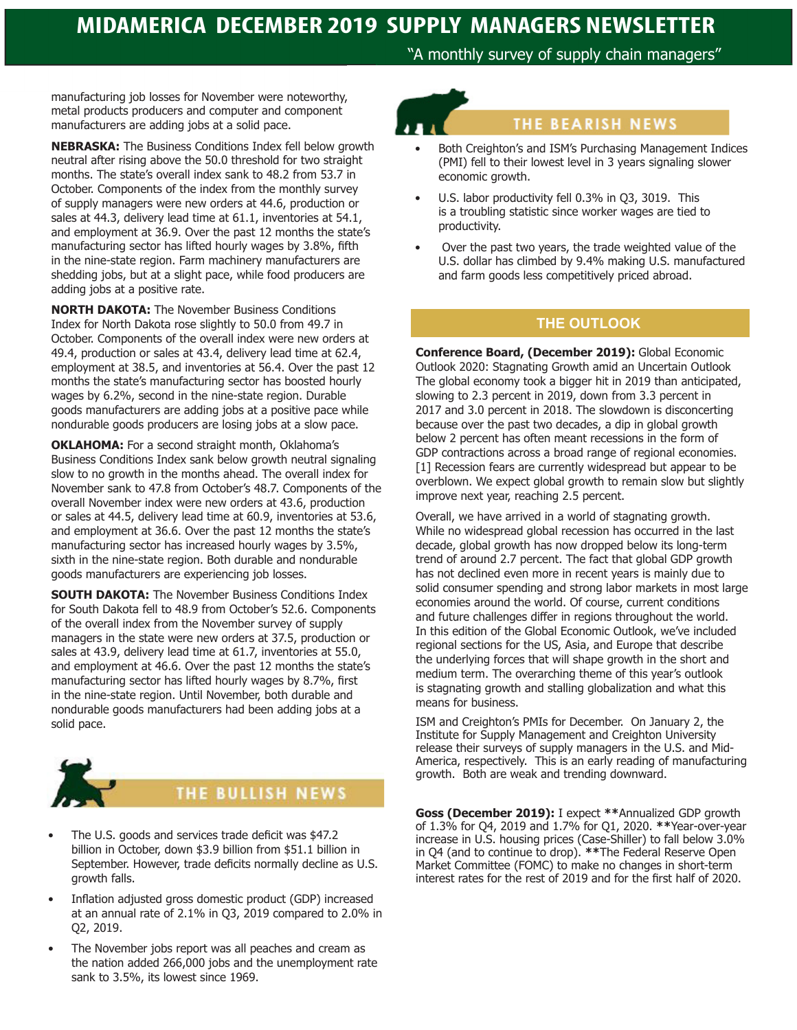"A monthly survey of supply chain managers"

manufacturing job losses for November were noteworthy, metal products producers and computer and component manufacturers are adding jobs at a solid pace.

**NEBRASKA:** The Business Conditions Index fell below growth neutral after rising above the 50.0 threshold for two straight months. The state's overall index sank to 48.2 from 53.7 in October. Components of the index from the monthly survey of supply managers were new orders at 44.6, production or sales at 44.3, delivery lead time at 61.1, inventories at 54.1, and employment at 36.9. Over the past 12 months the state's manufacturing sector has lifted hourly wages by 3.8%, fifth in the nine-state region. Farm machinery manufacturers are shedding jobs, but at a slight pace, while food producers are adding jobs at a positive rate.

**NORTH DAKOTA:** The November Business Conditions Index for North Dakota rose slightly to 50.0 from 49.7 in October. Components of the overall index were new orders at 49.4, production or sales at 43.4, delivery lead time at 62.4, employment at 38.5, and inventories at 56.4. Over the past 12 months the state's manufacturing sector has boosted hourly wages by 6.2%, second in the nine-state region. Durable goods manufacturers are adding jobs at a positive pace while nondurable goods producers are losing jobs at a slow pace.

**OKLAHOMA:** For a second straight month, Oklahoma's Business Conditions Index sank below growth neutral signaling slow to no growth in the months ahead. The overall index for November sank to 47.8 from October's 48.7. Components of the overall November index were new orders at 43.6, production or sales at 44.5, delivery lead time at 60.9, inventories at 53.6, and employment at 36.6. Over the past 12 months the state's manufacturing sector has increased hourly wages by 3.5%, sixth in the nine-state region. Both durable and nondurable goods manufacturers are experiencing job losses.

**SOUTH DAKOTA:** The November Business Conditions Index for South Dakota fell to 48.9 from October's 52.6. Components of the overall index from the November survey of supply managers in the state were new orders at 37.5, production or sales at 43.9, delivery lead time at 61.7, inventories at 55.0, and employment at 46.6. Over the past 12 months the state's manufacturing sector has lifted hourly wages by 8.7%, first in the nine-state region. Until November, both durable and nondurable goods manufacturers had been adding jobs at a solid pace.



# THE BULLISH NEWS

- The U.S. goods and services trade deficit was \$47.2 billion in October, down \$3.9 billion from \$51.1 billion in September. However, trade deficits normally decline as U.S. growth falls.
- Inflation adjusted gross domestic product (GDP) increased at an annual rate of 2.1% in Q3, 2019 compared to 2.0% in Q2, 2019.
- The November jobs report was all peaches and cream as the nation added 266,000 jobs and the unemployment rate sank to 3.5%, its lowest since 1969.

# THE BEARISH NEWS

- Both Creighton's and ISM's Purchasing Management Indices (PMI) fell to their lowest level in 3 years signaling slower economic growth.
- U.S. labor productivity fell 0.3% in Q3, 3019. This is a troubling statistic since worker wages are tied to productivity.
- Over the past two years, the trade weighted value of the U.S. dollar has climbed by 9.4% making U.S. manufactured and farm goods less competitively priced abroad.

# **THE OUTLOOK**

**Conference Board, (December 2019):** Global Economic Outlook 2020: Stagnating Growth amid an Uncertain Outlook The global economy took a bigger hit in 2019 than anticipated, slowing to 2.3 percent in 2019, down from 3.3 percent in 2017 and 3.0 percent in 2018. The slowdown is disconcerting because over the past two decades, a dip in global growth below 2 percent has often meant recessions in the form of GDP contractions across a broad range of regional economies. [1] Recession fears are currently widespread but appear to be overblown. We expect global growth to remain slow but slightly improve next year, reaching 2.5 percent.

Overall, we have arrived in a world of stagnating growth. While no widespread global recession has occurred in the last decade, global growth has now dropped below its long-term trend of around 2.7 percent. The fact that global GDP growth has not declined even more in recent years is mainly due to solid consumer spending and strong labor markets in most large economies around the world. Of course, current conditions and future challenges differ in regions throughout the world. In this edition of the Global Economic Outlook, we've included regional sections for the US, Asia, and Europe that describe the underlying forces that will shape growth in the short and medium term. The overarching theme of this year's outlook is stagnating growth and stalling globalization and what this means for business.

ISM and Creighton's PMIs for December. On January 2, the Institute for Supply Management and Creighton University release their surveys of supply managers in the U.S. and Mid-America, respectively. This is an early reading of manufacturing growth. Both are weak and trending downward.

**Goss (December 2019):** I expect **\*\***Annualized GDP growth of 1.3% for Q4, 2019 and 1.7% for Q1, 2020. **\*\***Year-over-year increase in U.S. housing prices (Case-Shiller) to fall below 3.0% in Q4 (and to continue to drop). **\*\***The Federal Reserve Open Market Committee (FOMC) to make no changes in short-term interest rates for the rest of 2019 and for the first half of 2020.